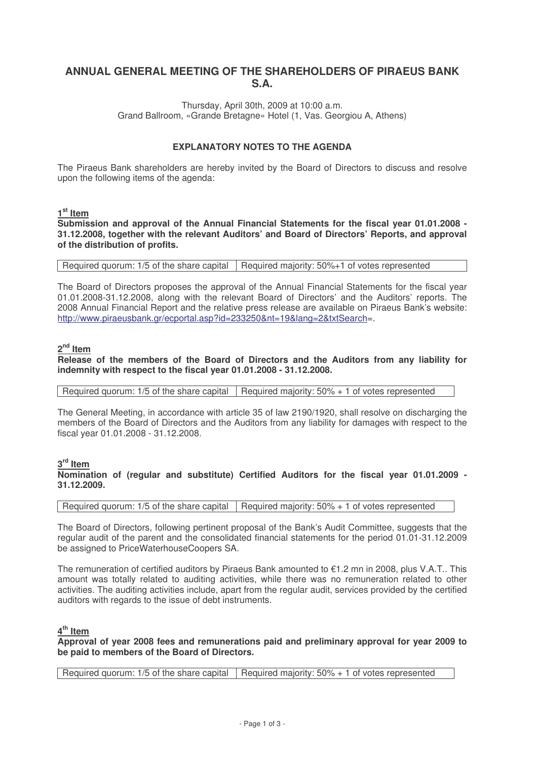# **ANNUAL GENERAL MEETING OF THE SHAREHOLDERS OF PIRAEUS BANK S.A.**

Thursday, April 30th, 2009 at 10:00 a.m. Grand Ballroom, «Grande Bretagne» Hotel (1, Vas. Georgiou A, Athens)

### **EXPLANATORY NOTES TO THE AGENDA**

The Piraeus Bank shareholders are hereby invited by the Board of Directors to discuss and resolve upon the following items of the agenda:

## **1 st Item**

**Submission and approval of the Annual Financial Statements for the fiscal year 01.01.2008 - 31.12.2008, together with the relevant Auditors' and Board of Directors' Reports, and approval of the distribution of profits.**

Required quorum: 1/5 of the share capital  $\vert$  Required majority: 50%+1 of votes represented

The Board of Directors proposes the approval of the Annual Financial Statements for the fiscal year 01.01.2008-31.12.2008, along with the relevant Board of Directors' and the Auditors' reports. The 2008 Annual Financial Report and the relative press release are available on Piraeus Bank's website: http://www.piraeusbank.gr/ecportal.asp?id=233250&nt=19&lang=2&txtSearch=.

## **2 nd Item**

#### **Release of the members of the Board of Directors and the Auditors from any liability for indemnity with respect to the fiscal year 01.01.2008 - 31.12.2008.**

Required quorum: 1/5 of the share capital  $\vert$  Required majority: 50% + 1 of votes represented

The General Meeting, in accordance with article 35 of law 2190/1920, shall resolve on discharging the members of the Board of Directors and the Auditors from any liability for damages with respect to the fiscal year 01.01.2008 - 31.12.2008.

## **3 rd Item**

**Nomination of (regular and substitute) Certified Auditors for the fiscal year 01.01.2009 - 31.12.2009.**

Required quorum: 1/5 of the share capital  $\vert$  Required majority: 50% + 1 of votes represented

The Board of Directors, following pertinent proposal of the Bank's Audit Committee, suggests that the regular audit of the parent and the consolidated financial statements for the period 01.01-31.12.2009 be assigned to PriceWaterhouseCoopers SA.

The remuneration of certified auditors by Piraeus Bank amounted to €1.2 mn in 2008, plus V.A.T.. This amount was totally related to auditing activities, while there was no remuneration related to other activities. The auditing activities include, apart from the regular audit, services provided by the certified auditors with regards to the issue of debt instruments.

### **4 th Item**

**Approval of year 2008 fees and remunerations paid and preliminary approval for year 2009 to be paid to members of the Board of Directors.**

Required quorum: 1/5 of the share capital Required majority: 50% + 1 of votes represented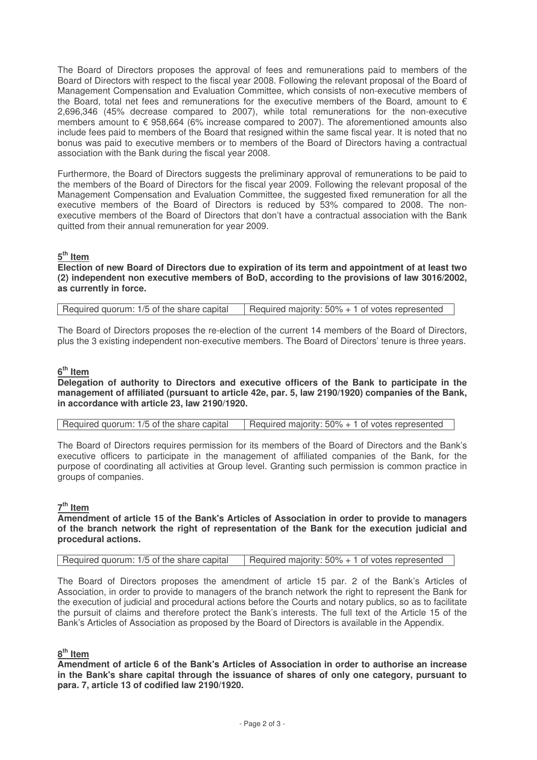The Board of Directors proposes the approval of fees and remunerations paid to members of the Board of Directors with respect to the fiscal year 2008. Following the relevant proposal of the Board of Management Compensation and Evaluation Committee, which consists of non-executive members of the Board, total net fees and remunerations for the executive members of the Board, amount to  $\epsilon$ 2,696,346 (45% decrease compared to 2007), while total remunerations for the non-executive members amount to € 958,664 (6% increase compared to 2007). The aforementioned amounts also include fees paid to members of the Board that resigned within the same fiscal year. It is noted that no bonus was paid to executive members or to members of the Board of Directors having a contractual association with the Bank during the fiscal year 2008.

Furthermore, the Board of Directors suggests the preliminary approval of remunerations to be paid to the members of the Board of Directors for the fiscal year 2009. Following the relevant proposal of the Management Compensation and Evaluation Committee, the suggested fixed remuneration for all the executive members of the Board of Directors is reduced by 53% compared to 2008. The nonexecutive members of the Board of Directors that don't have a contractual association with the Bank quitted from their annual remuneration for year 2009.

## **5 th Item**

**Election of new Board of Directors due to expiration of its term and appointment of at least two (2) independent non executive members of BoD, according to the provisions of law 3016/2002, as currently in force.**

| Required quorum: 1/5 of the share capital | Required majority: 50% + 1 of votes represented |
|-------------------------------------------|-------------------------------------------------|
|-------------------------------------------|-------------------------------------------------|

The Board of Directors proposes the re-election of the current 14 members of the Board of Directors, plus the 3 existing independent non-executive members. The Board of Directors' tenure is three years.

# **6 th Item**

#### **Delegation of authority to Directors and executive officers of the Bank to participate in the management of affiliated (pursuant to article 42e, par. 5, law 2190/1920) companies of the Bank, in accordance with article 23, law 2190/1920.**

| Required quorum: 1/5 of the share capital | Required majority: $50\% + 1$ of votes represented |
|-------------------------------------------|----------------------------------------------------|
|-------------------------------------------|----------------------------------------------------|

The Board of Directors requires permission for its members of the Board of Directors and the Bank's executive officers to participate in the management of affiliated companies of the Bank, for the purpose of coordinating all activities at Group level. Granting such permission is common practice in groups of companies.

### **7 th Item**

**Amendment of article 15 of the Bank's Articles of Association in order to provide to managers of the branch network the right of representation of the Bank for the execution judicial and procedural actions.**

| l Required quorum: 1/5 of the share capital | Required majority: $50\% + 1$ of votes represented |
|---------------------------------------------|----------------------------------------------------|
|                                             |                                                    |

The Board of Directors proposes the amendment of article 15 par. 2 of the Bank's Articles of Association, in order to provide to managers of the branch network the right to represent the Bank for the execution of judicial and procedural actions before the Courts and notary publics, so as to facilitate the pursuit of claims and therefore protect the Bank's interests. The full text of the Article 15 of the Bank's Articles of Association as proposed by the Board of Directors is available in the Appendix.

### **8 th Item**

**Amendment of article 6 of the Bank's Articles of Association in order to authorise an increase in the Bank's share capital through the issuance of shares of only one category, pursuant to para. 7, article 13 of codified law 2190/1920.**